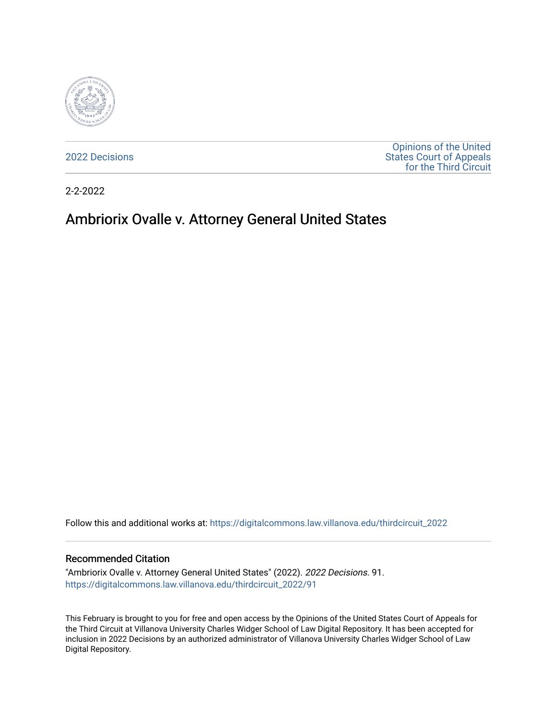

[2022 Decisions](https://digitalcommons.law.villanova.edu/thirdcircuit_2022)

[Opinions of the United](https://digitalcommons.law.villanova.edu/thirdcircuit)  [States Court of Appeals](https://digitalcommons.law.villanova.edu/thirdcircuit)  [for the Third Circuit](https://digitalcommons.law.villanova.edu/thirdcircuit) 

2-2-2022

# Ambriorix Ovalle v. Attorney General United States

Follow this and additional works at: [https://digitalcommons.law.villanova.edu/thirdcircuit\\_2022](https://digitalcommons.law.villanova.edu/thirdcircuit_2022?utm_source=digitalcommons.law.villanova.edu%2Fthirdcircuit_2022%2F91&utm_medium=PDF&utm_campaign=PDFCoverPages) 

#### Recommended Citation

"Ambriorix Ovalle v. Attorney General United States" (2022). 2022 Decisions. 91. [https://digitalcommons.law.villanova.edu/thirdcircuit\\_2022/91](https://digitalcommons.law.villanova.edu/thirdcircuit_2022/91?utm_source=digitalcommons.law.villanova.edu%2Fthirdcircuit_2022%2F91&utm_medium=PDF&utm_campaign=PDFCoverPages)

This February is brought to you for free and open access by the Opinions of the United States Court of Appeals for the Third Circuit at Villanova University Charles Widger School of Law Digital Repository. It has been accepted for inclusion in 2022 Decisions by an authorized administrator of Villanova University Charles Widger School of Law Digital Repository.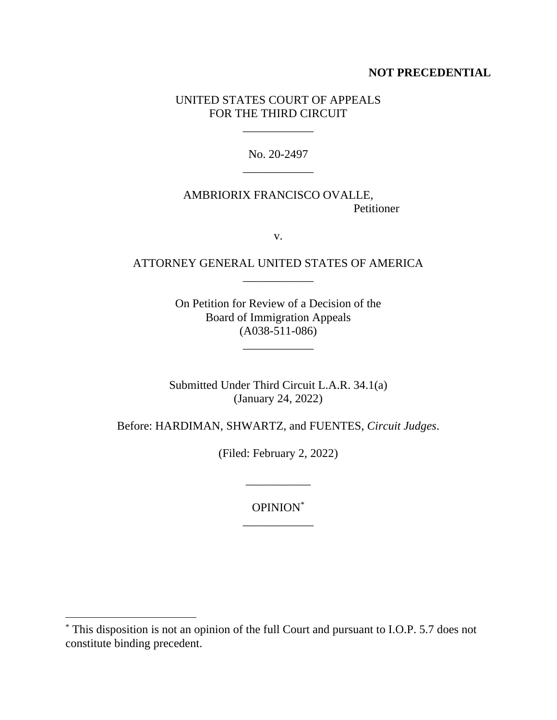## **NOT PRECEDENTIAL**

## UNITED STATES COURT OF APPEALS FOR THE THIRD CIRCUIT

\_\_\_\_\_\_\_\_\_\_\_\_

No. 20-2497 \_\_\_\_\_\_\_\_\_\_\_\_

## AMBRIORIX FRANCISCO OVALLE, Petitioner

v.

## ATTORNEY GENERAL UNITED STATES OF AMERICA \_\_\_\_\_\_\_\_\_\_\_\_

On Petition for Review of a Decision of the Board of Immigration Appeals (A038-511-086)

\_\_\_\_\_\_\_\_\_\_\_\_

Submitted Under Third Circuit L.A.R. 34.1(a) (January 24, 2022)

Before: HARDIMAN, SHWARTZ, and FUENTES, *Circuit Judges*.

(Filed: February 2, 2022)

\_\_\_\_\_\_\_\_\_\_\_

OPINION\* \_\_\_\_\_\_\_\_\_\_\_\_

<sup>\*</sup> This disposition is not an opinion of the full Court and pursuant to I.O.P. 5.7 does not constitute binding precedent.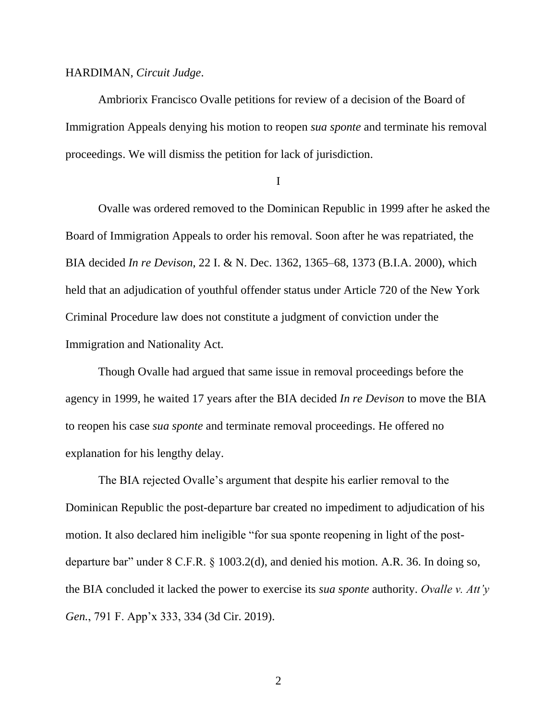#### HARDIMAN, *Circuit Judge*.

Ambriorix Francisco Ovalle petitions for review of a decision of the Board of Immigration Appeals denying his motion to reopen *sua sponte* and terminate his removal proceedings. We will dismiss the petition for lack of jurisdiction.

I

Ovalle was ordered removed to the Dominican Republic in 1999 after he asked the Board of Immigration Appeals to order his removal. Soon after he was repatriated, the BIA decided *In re Devison*, 22 I. & N. Dec. 1362, 1365–68, 1373 (B.I.A. 2000), which held that an adjudication of youthful offender status under Article 720 of the New York Criminal Procedure law does not constitute a judgment of conviction under the Immigration and Nationality Act.

Though Ovalle had argued that same issue in removal proceedings before the agency in 1999, he waited 17 years after the BIA decided *In re Devison* to move the BIA to reopen his case *sua sponte* and terminate removal proceedings. He offered no explanation for his lengthy delay.

The BIA rejected Ovalle's argument that despite his earlier removal to the Dominican Republic the post-departure bar created no impediment to adjudication of his motion. It also declared him ineligible "for sua sponte reopening in light of the postdeparture bar" under 8 C.F.R. § 1003.2(d), and denied his motion. A.R. 36. In doing so, the BIA concluded it lacked the power to exercise its *sua sponte* authority. *Ovalle v. Att'y Gen.*, 791 F. App'x 333, 334 (3d Cir. 2019).

2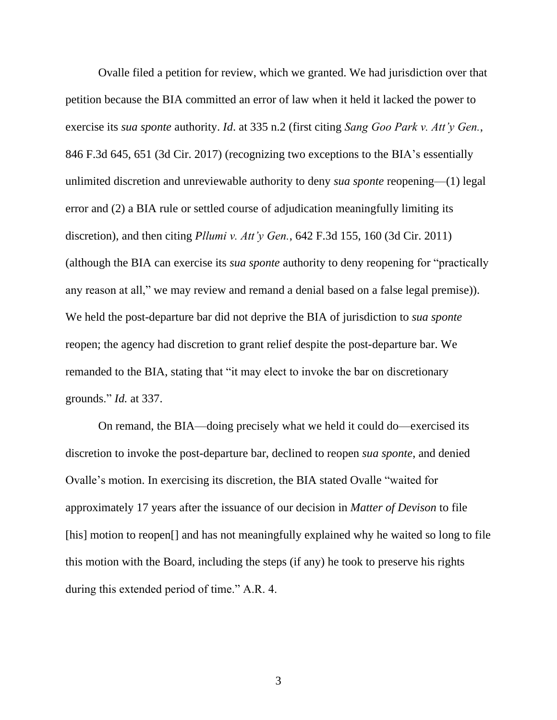Ovalle filed a petition for review, which we granted. We had jurisdiction over that petition because the BIA committed an error of law when it held it lacked the power to exercise its *sua sponte* authority. *Id*. at 335 n.2 (first citing *Sang Goo Park v. Att'y Gen.*, 846 F.3d 645, 651 (3d Cir. 2017) (recognizing two exceptions to the BIA's essentially unlimited discretion and unreviewable authority to deny *sua sponte* reopening—(1) legal error and (2) a BIA rule or settled course of adjudication meaningfully limiting its discretion), and then citing *Pllumi v. Att'y Gen.*, 642 F.3d 155, 160 (3d Cir. 2011) (although the BIA can exercise its *sua sponte* authority to deny reopening for "practically any reason at all," we may review and remand a denial based on a false legal premise)). We held the post-departure bar did not deprive the BIA of jurisdiction to *sua sponte* reopen; the agency had discretion to grant relief despite the post-departure bar. We remanded to the BIA, stating that "it may elect to invoke the bar on discretionary grounds." *Id.* at 337.

On remand, the BIA—doing precisely what we held it could do—exercised its discretion to invoke the post-departure bar, declined to reopen *sua sponte*, and denied Ovalle's motion. In exercising its discretion, the BIA stated Ovalle "waited for approximately 17 years after the issuance of our decision in *Matter of Devison* to file [his] motion to reopen<sup>[]</sup> and has not meaningfully explained why he waited so long to file this motion with the Board, including the steps (if any) he took to preserve his rights during this extended period of time." A.R. 4.

3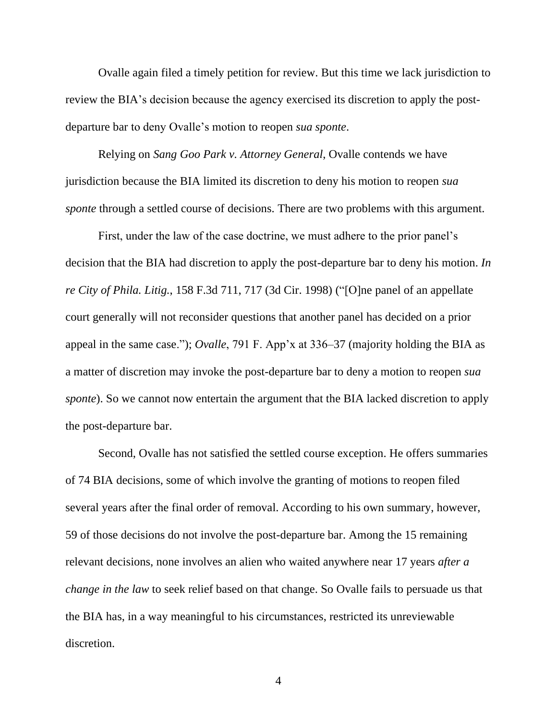Ovalle again filed a timely petition for review. But this time we lack jurisdiction to review the BIA's decision because the agency exercised its discretion to apply the postdeparture bar to deny Ovalle's motion to reopen *sua sponte*.

Relying on *Sang Goo Park v. Attorney General*, Ovalle contends we have jurisdiction because the BIA limited its discretion to deny his motion to reopen *sua sponte* through a settled course of decisions. There are two problems with this argument.

First, under the law of the case doctrine, we must adhere to the prior panel's decision that the BIA had discretion to apply the post-departure bar to deny his motion. *[In](https://1.next.westlaw.com/Link/Document/FullText?findType=Y&serNum=1998186788&pubNum=0000506&originatingDoc=Iccb51260770611eb91b78705c7189b3d&refType=RP&fi=co_pp_sp_506_717&originationContext=document&transitionType=DocumentItem&ppcid=13e560d7df45412baf30d22500e68e68&contextData=(sc.Search)#co_pp_sp_506_717) re City of [Phila.](https://1.next.westlaw.com/Link/Document/FullText?findType=Y&serNum=1998186788&pubNum=0000506&originatingDoc=Iccb51260770611eb91b78705c7189b3d&refType=RP&fi=co_pp_sp_506_717&originationContext=document&transitionType=DocumentItem&ppcid=13e560d7df45412baf30d22500e68e68&contextData=(sc.Search)#co_pp_sp_506_717) Litig.*, 158 F.3d 711, 717 (3d Cir. 1998) ("[O]ne panel of an appellate court generally will not reconsider questions that another panel has decided on a prior appeal in the same case."); *Ovalle*, 791 F. App'x at 336–37 (majority holding the BIA as a matter of discretion may invoke the post-departure bar to deny a motion to reopen *sua sponte*). So we cannot now entertain the argument that the BIA lacked discretion to apply the post-departure bar.

Second, Ovalle has not satisfied the settled course exception. He offers summaries of 74 BIA decisions, some of which involve the granting of motions to reopen filed several years after the final order of removal. According to his own summary, however, 59 of those decisions do not involve the post-departure bar. Among the 15 remaining relevant decisions, none involves an alien who waited anywhere near 17 years *after a change in the law* to seek relief based on that change. So Ovalle fails to persuade us that the BIA has, in a way meaningful to his circumstances, restricted its unreviewable discretion.

4